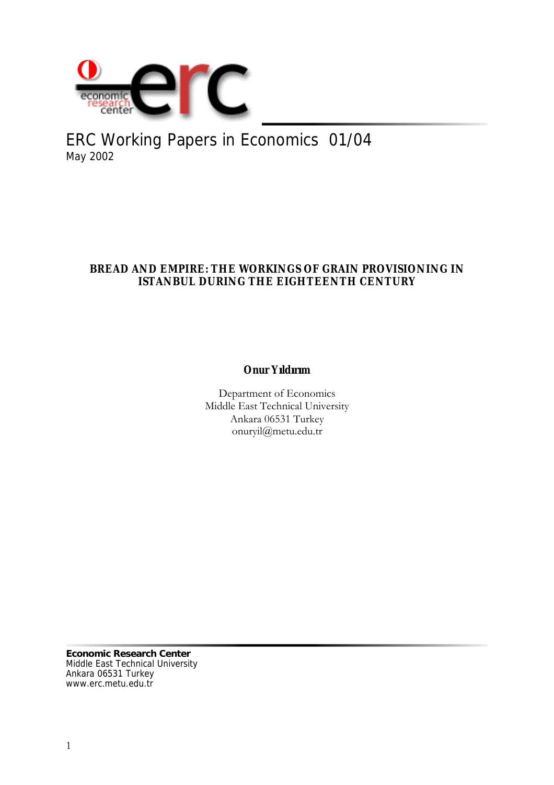

ERC Working Papers in Economics 01/04 May 2002

# **BREAD AND EMPIRE: THE WORKINGS OF GRAIN PROVISIONING IN ISTANBUL DURING THE EIGHTEENTH CENTURY**

**Onur Yıldırım**

Department of Economics Middle East Technical University Ankara 06531 Turkey onuryil@metu.edu.tr

**Economic Research Center** Middle East Technical University Ankara 06531 Turkey www.erc.metu.edu.tr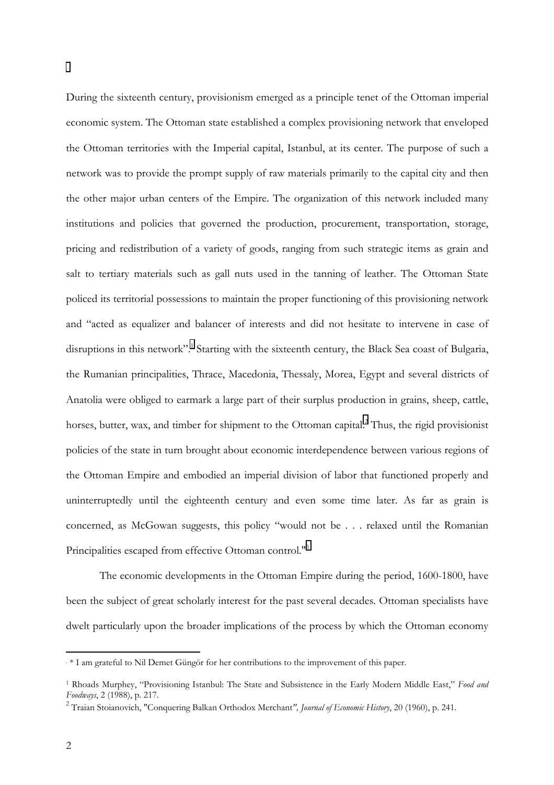During the sixteenth century, provisionism emerged as a principle tenet of the Ottoman imperial economic system. The Ottoman state established a complex provisioning network that enveloped the Ottoman territories with the Imperial capital, Istanbul, at its center. The purpose of such a network was to provide the prompt supply of raw materials primarily to the capital city and then the other major urban centers of the Empire. The organization of this network included many institutions and policies that governed the production, procurement, transportation, storage, pricing and redistribution of a variety of goods, ranging from such strategic items as grain and salt to tertiary materials such as gall nuts used in the tanning of leather. The Ottoman State policed its territorial possessions to maintain the proper functioning of this provisioning network and "acted as equalizer and balancer of interests and did not hesitate to intervene in case of disruptions in this network".<sup>1</sup> Starting with the sixteenth century, the Black Sea coast of Bulgaria, the Rumanian principalities, Thrace, Macedonia, Thessaly, Morea, Egypt and several districts of Anatolia were obliged to earmark a large part of their surplus production in grains, sheep, cattle, horses, butter, wax, and timber for shipment to the Ottoman capital.<sup>2</sup> Thus, the rigid provisionist policies of the state in turn brought about economic interdependence between various regions of the Ottoman Empire and embodied an imperial division of labor that functioned properly and uninterruptedly until the eighteenth century and even some time later. As far as grain is concerned, as McGowan suggests, this policy "would not be . . . relaxed until the Romanian Principalities escaped from effective Ottoman control."3

The economic developments in the Ottoman Empire during the period, 1600-1800, have been the subject of great scholarly interest for the past several decades. Ottoman specialists have dwelt particularly upon the broader implications of the process by which the Ottoman economy

 $\overline{a}$ 

.

<sup>.</sup> \* I am grateful to Nil Demet Güngör for her contributions to the improvement of this paper.

<sup>1</sup> Rhoads Murphey, "Provisioning Istanbul: The State and Subsistence in the Early Modern Middle East," *Food and Foodways*, 2 (1988), p. 217.

<sup>2</sup> Traian Stoianovich, "Conquering Balkan Orthodox Merchant*", Journal of Economic History*, 20 (1960), p. 241.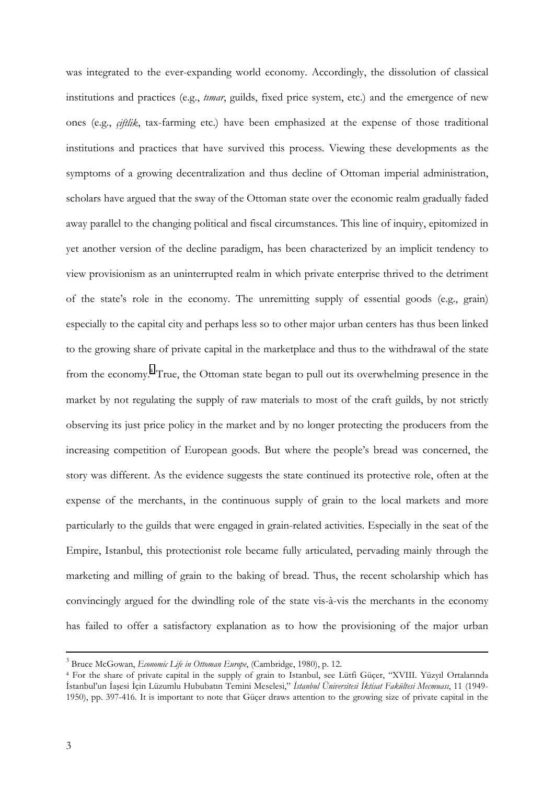was integrated to the ever-expanding world economy. Accordingly, the dissolution of classical institutions and practices (e.g., *tımar*, guilds, fixed price system, etc.) and the emergence of new ones (e.g., *çiftlik*, tax-farming etc.) have been emphasized at the expense of those traditional institutions and practices that have survived this process. Viewing these developments as the symptoms of a growing decentralization and thus decline of Ottoman imperial administration, scholars have argued that the sway of the Ottoman state over the economic realm gradually faded away parallel to the changing political and fiscal circumstances. This line of inquiry, epitomized in yet another version of the decline paradigm, has been characterized by an implicit tendency to view provisionism as an uninterrupted realm in which private enterprise thrived to the detriment of the state's role in the economy. The unremitting supply of essential goods (e.g., grain) especially to the capital city and perhaps less so to other major urban centers has thus been linked to the growing share of private capital in the marketplace and thus to the withdrawal of the state from the economy.<sup>4</sup> True, the Ottoman state began to pull out its overwhelming presence in the market by not regulating the supply of raw materials to most of the craft guilds, by not strictly observing its just price policy in the market and by no longer protecting the producers from the increasing competition of European goods. But where the people's bread was concerned, the story was different. As the evidence suggests the state continued its protective role, often at the expense of the merchants, in the continuous supply of grain to the local markets and more particularly to the guilds that were engaged in grain-related activities. Especially in the seat of the Empire, Istanbul, this protectionist role became fully articulated, pervading mainly through the marketing and milling of grain to the baking of bread. Thus, the recent scholarship which has convincingly argued for the dwindling role of the state vis-à-vis the merchants in the economy has failed to offer a satisfactory explanation as to how the provisioning of the major urban

 $\frac{1}{3}$ Bruce McGowan, *Economic Life in Ottoman Europe*, (Cambridge, 1980), p. 12.

<sup>4</sup> For the share of private capital in the supply of grain to Istanbul, see Lütfi Güçer, "XVIII. Yüzyıl Ortalarında İstanbul'un İaşesi İçin Lüzumlu Hububatın Temini Meselesi," *İstanbul Üniversitesi İktisat Fakültesi Mecmuası*, 11 (1949- 1950), pp. 397-416. It is important to note that Güçer draws attention to the growing size of private capital in the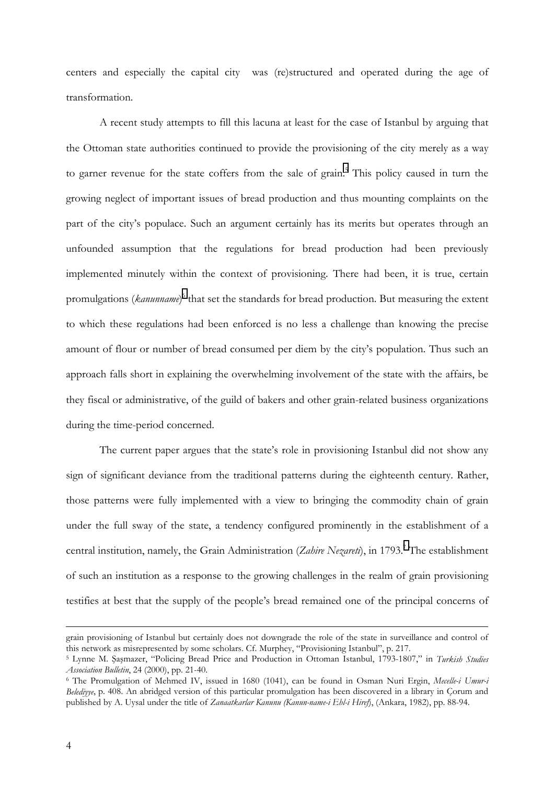centers and especially the capital city was (re)structured and operated during the age of transformation.

A recent study attempts to fill this lacuna at least for the case of Istanbul by arguing that the Ottoman state authorities continued to provide the provisioning of the city merely as a way to garner revenue for the state coffers from the sale of grain.<sup>5</sup> This policy caused in turn the growing neglect of important issues of bread production and thus mounting complaints on the part of the city's populace. Such an argument certainly has its merits but operates through an unfounded assumption that the regulations for bread production had been previously implemented minutely within the context of provisioning. There had been, it is true, certain promulgations (*kanunname*)<sup>6</sup> that set the standards for bread production. But measuring the extent to which these regulations had been enforced is no less a challenge than knowing the precise amount of flour or number of bread consumed per diem by the city's population. Thus such an approach falls short in explaining the overwhelming involvement of the state with the affairs, be they fiscal or administrative, of the guild of bakers and other grain-related business organizations during the time-period concerned.

The current paper argues that the state's role in provisioning Istanbul did not show any sign of significant deviance from the traditional patterns during the eighteenth century. Rather, those patterns were fully implemented with a view to bringing the commodity chain of grain under the full sway of the state, a tendency configured prominently in the establishment of a central institution, namely, the Grain Administration (Zahire Nezareti), in 1793.<sup>7</sup> The establishment of such an institution as a response to the growing challenges in the realm of grain provisioning testifies at best that the supply of the people's bread remained one of the principal concerns of

grain provisioning of Istanbul but certainly does not downgrade the role of the state in surveillance and control of this network as misrepresented by some scholars. Cf. Murphey, "Provisioning Istanbul", p. 217.

<sup>5</sup> Lynne M. Şaşmazer, "Policing Bread Price and Production in Ottoman Istanbul, 1793-1807," in *Turkish Studies Association Bulletin*, 24 (2000), pp. 21-40.

<sup>6</sup> The Promulgation of Mehmed IV, issued in 1680 (1041), can be found in Osman Nuri Ergin, *Mecelle-i Umur-i Belediyye*, p. 408. An abridged version of this particular promulgation has been discovered in a library in Çorum and published by A. Uysal under the title of *Zanaatkarlar Kanunu (Kanun-name-i Ehl-i Hiref*), (Ankara, 1982), pp. 88-94.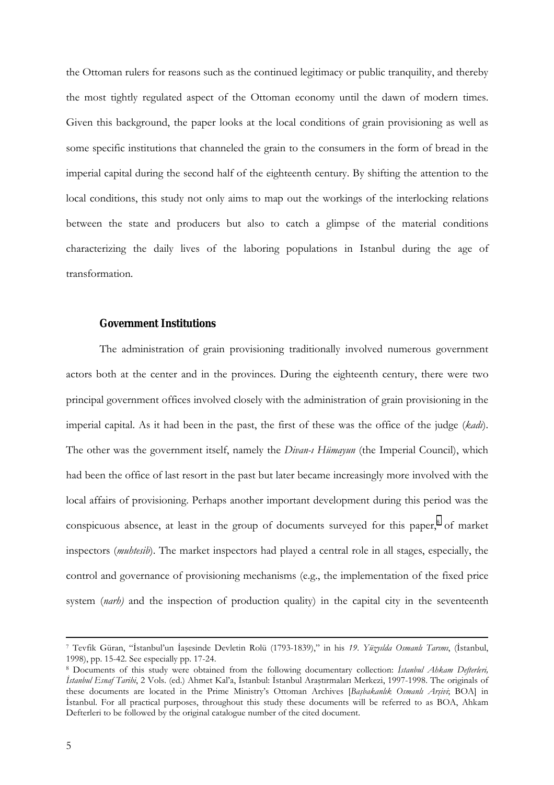the Ottoman rulers for reasons such as the continued legitimacy or public tranquility, and thereby the most tightly regulated aspect of the Ottoman economy until the dawn of modern times. Given this background, the paper looks at the local conditions of grain provisioning as well as some specific institutions that channeled the grain to the consumers in the form of bread in the imperial capital during the second half of the eighteenth century. By shifting the attention to the local conditions, this study not only aims to map out the workings of the interlocking relations between the state and producers but also to catch a glimpse of the material conditions characterizing the daily lives of the laboring populations in Istanbul during the age of transformation.

#### **Government Institutions**

The administration of grain provisioning traditionally involved numerous government actors both at the center and in the provinces. During the eighteenth century, there were two principal government offices involved closely with the administration of grain provisioning in the imperial capital. As it had been in the past, the first of these was the office of the judge (*kadı*). The other was the government itself, namely the *Divan-ı Hümayun* (the Imperial Council), which had been the office of last resort in the past but later became increasingly more involved with the local affairs of provisioning. Perhaps another important development during this period was the conspicuous absence, at least in the group of documents surveyed for this paper,<sup>8</sup> of market inspectors (*muhtesib*). The market inspectors had played a central role in all stages, especially, the control and governance of provisioning mechanisms (e.g., the implementation of the fixed price system *(narh)* and the inspection of production quality) in the capital city in the seventeenth

 <sup>7</sup> Tevfik Güran, "İstanbul'un İaşesinde Devletin Rolü (1793-1839)," in his *19. Yüzyılda Osmanlı Tarımı*, (İstanbul, 1998), pp. 15-42. See especially pp. 17-24.

<sup>8</sup> Documents of this study were obtained from the following documentary collection: *İstanbul Ahkam Defterleri, İstanbul Esnaf Tarihi*, 2 Vols. (ed.) Ahmet Kal'a, İstanbul: İstanbul Araştırmaları Merkezi, 1997-1998. The originals of these documents are located in the Prime Ministry's Ottoman Archives [*Başbakanlık Osmanlı Arşivi*; BOA] in İstanbul. For all practical purposes, throughout this study these documents will be referred to as BOA, Ahkam Defterleri to be followed by the original catalogue number of the cited document.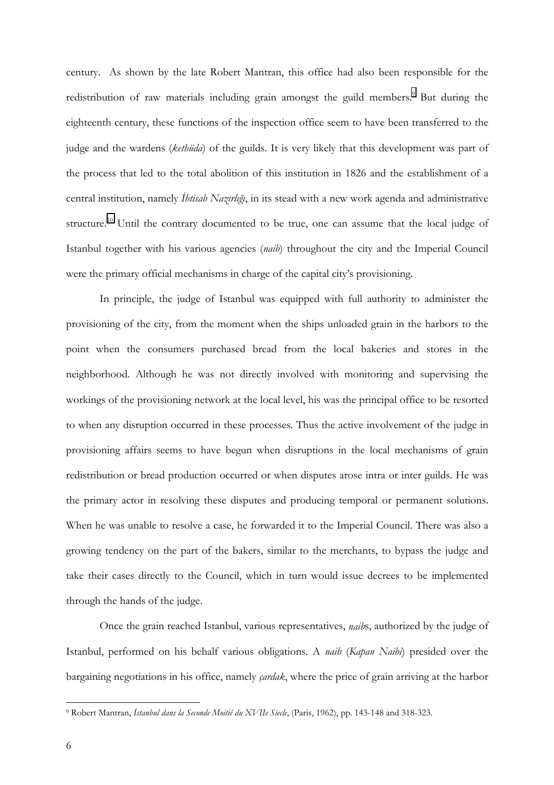century. As shown by the late Robert Mantran, this office had also been responsible for the redistribution of raw materials including grain amongst the guild members.<sup>9</sup> But during the eighteenth century, these functions of the inspection office seem to have been transferred to the judge and the wardens (*kethüda*) of the guilds. It is very likely that this development was part of the process that led to the total abolition of this institution in 1826 and the establishment of a central institution, namely *İhtisab Nazırlığı*, in its stead with a new work agenda and administrative structure.<sup>10</sup> Until the contrary documented to be true, one can assume that the local judge of Istanbul together with his various agencies (*naib*) throughout the city and the Imperial Council were the primary official mechanisms in charge of the capital city's provisioning.

In principle, the judge of Istanbul was equipped with full authority to administer the provisioning of the city, from the moment when the ships unloaded grain in the harbors to the point when the consumers purchased bread from the local bakeries and stores in the neighborhood. Although he was not directly involved with monitoring and supervising the workings of the provisioning network at the local level, his was the principal office to be resorted to when any disruption occurred in these processes. Thus the active involvement of the judge in provisioning affairs seems to have begun when disruptions in the local mechanisms of grain redistribution or bread production occurred or when disputes arose intra or inter guilds. He was the primary actor in resolving these disputes and producing temporal or permanent solutions. When he was unable to resolve a case, he forwarded it to the Imperial Council. There was also a growing tendency on the part of the bakers, similar to the merchants, to bypass the judge and take their cases directly to the Council, which in turn would issue decrees to be implemented through the hands of the judge.

Once the grain reached Istanbul, various representatives, *naib*s, authorized by the judge of Istanbul, performed on his behalf various obligations. A *naib* (*Kapan Naibi*) presided over the bargaining negotiations in his office, namely *çardak*, where the price of grain arriving at the harbor

<sup>9</sup> Robert Mantran, *İstanbul dans la Seconde Moitié du XVIIe Siecle*, (Paris, 1962), pp. 143-148 and 318-323.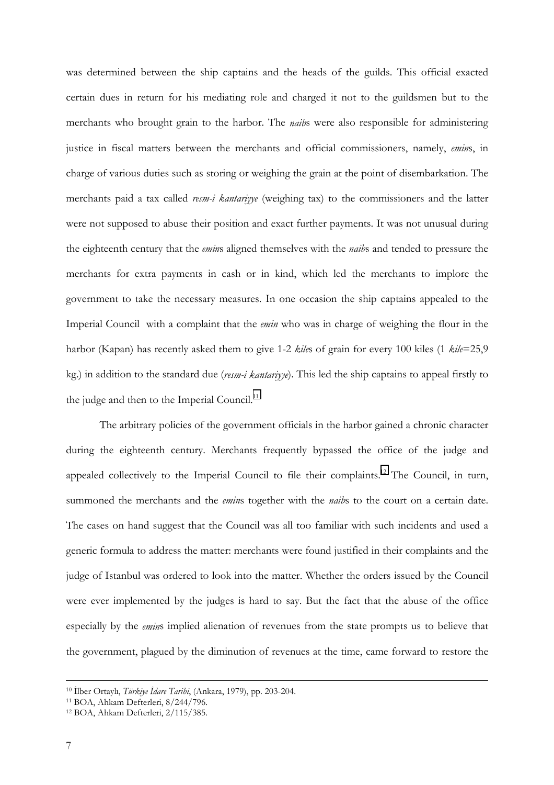was determined between the ship captains and the heads of the guilds. This official exacted certain dues in return for his mediating role and charged it not to the guildsmen but to the merchants who brought grain to the harbor. The *naib*s were also responsible for administering justice in fiscal matters between the merchants and official commissioners, namely, *emin*s, in charge of various duties such as storing or weighing the grain at the point of disembarkation. The merchants paid a tax called *resm-i kantariyye* (weighing tax) to the commissioners and the latter were not supposed to abuse their position and exact further payments. It was not unusual during the eighteenth century that the *emin*s aligned themselves with the *naib*s and tended to pressure the merchants for extra payments in cash or in kind, which led the merchants to implore the government to take the necessary measures. In one occasion the ship captains appealed to the Imperial Council with a complaint that the *emin* who was in charge of weighing the flour in the harbor (Kapan) has recently asked them to give 1-2 *kile*s of grain for every 100 kiles (1 *kile*=25,9 kg.) in addition to the standard due (*resm-i kantariyye*). This led the ship captains to appeal firstly to the judge and then to the Imperial Council. $11$ 

The arbitrary policies of the government officials in the harbor gained a chronic character during the eighteenth century. Merchants frequently bypassed the office of the judge and appealed collectively to the Imperial Council to file their complaints.<sup>12</sup> The Council, in turn, summoned the merchants and the *emin*s together with the *naib*s to the court on a certain date. The cases on hand suggest that the Council was all too familiar with such incidents and used a generic formula to address the matter: merchants were found justified in their complaints and the judge of Istanbul was ordered to look into the matter. Whether the orders issued by the Council were ever implemented by the judges is hard to say. But the fact that the abuse of the office especially by the *emin*s implied alienation of revenues from the state prompts us to believe that the government, plagued by the diminution of revenues at the time, came forward to restore the

 <sup>10</sup> <sup>İ</sup>lber Ortaylı, *Türkiye İdare Tarihi*, (Ankara, 1979), pp. 203-204.

<sup>11</sup> BOA, Ahkam Defterleri, 8/244/796.

<sup>12</sup> BOA, Ahkam Defterleri, 2/115/385.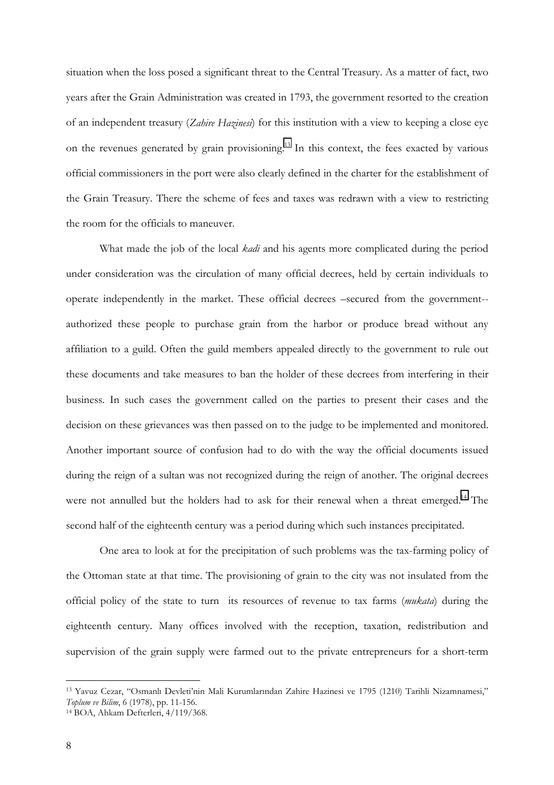situation when the loss posed a significant threat to the Central Treasury. As a matter of fact, two years after the Grain Administration was created in 1793, the government resorted to the creation of an independent treasury (*Zahire Hazinesi*) for this institution with a view to keeping a close eye on the revenues generated by grain provisioning.<sup>13</sup> In this context, the fees exacted by various official commissioners in the port were also clearly defined in the charter for the establishment of the Grain Treasury. There the scheme of fees and taxes was redrawn with a view to restricting the room for the officials to maneuver.

What made the job of the local *kadi* and his agents more complicated during the period under consideration was the circulation of many official decrees, held by certain individuals to operate independently in the market. These official decrees –secured from the government- authorized these people to purchase grain from the harbor or produce bread without any affiliation to a guild. Often the guild members appealed directly to the government to rule out these documents and take measures to ban the holder of these decrees from interfering in their business. In such cases the government called on the parties to present their cases and the decision on these grievances was then passed on to the judge to be implemented and monitored. Another important source of confusion had to do with the way the official documents issued during the reign of a sultan was not recognized during the reign of another. The original decrees were not annulled but the holders had to ask for their renewal when a threat emerged.<sup>14</sup> The second half of the eighteenth century was a period during which such instances precipitated.

One area to look at for the precipitation of such problems was the tax-farming policy of the Ottoman state at that time. The provisioning of grain to the city was not insulated from the official policy of the state to turn its resources of revenue to tax farms (*mukata*) during the eighteenth century. Many offices involved with the reception, taxation, redistribution and supervision of the grain supply were farmed out to the private entrepreneurs for a short-term

<sup>13</sup> Yavuz Cezar, "Osmanlı Devleti'nin Mali Kurumlarından Zahire Hazinesi ve 1795 (1210) Tarihli Nizamnamesi," *Toplum ve Bilim*, 6 (1978), pp. 11-156.

<sup>14</sup> BOA, Ahkam Defterleri, 4/119/368.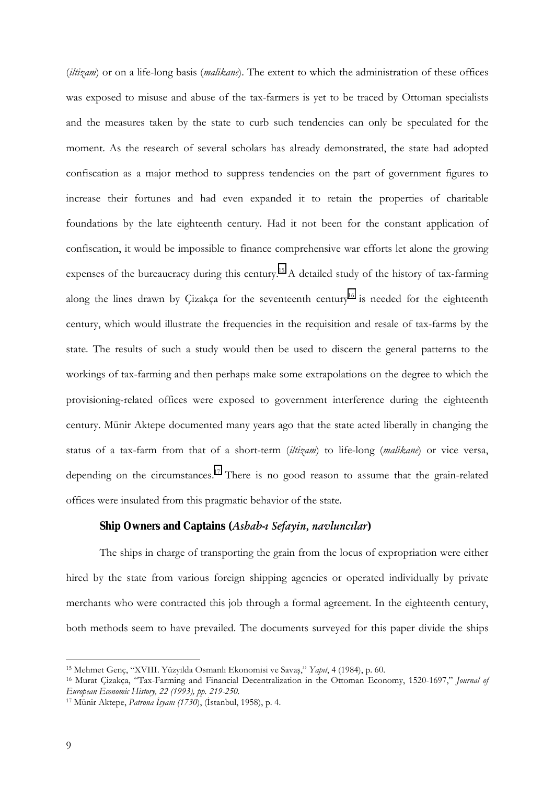(*iltizam*) or on a life-long basis (*malikane*). The extent to which the administration of these offices was exposed to misuse and abuse of the tax-farmers is yet to be traced by Ottoman specialists and the measures taken by the state to curb such tendencies can only be speculated for the moment. As the research of several scholars has already demonstrated, the state had adopted confiscation as a major method to suppress tendencies on the part of government figures to increase their fortunes and had even expanded it to retain the properties of charitable foundations by the late eighteenth century. Had it not been for the constant application of confiscation, it would be impossible to finance comprehensive war efforts let alone the growing expenses of the bureaucracy during this century.<sup>15</sup> A detailed study of the history of tax-farming along the lines drawn by Cizakça for the seventeenth century<sup>16</sup> is needed for the eighteenth century, which would illustrate the frequencies in the requisition and resale of tax-farms by the state. The results of such a study would then be used to discern the general patterns to the workings of tax-farming and then perhaps make some extrapolations on the degree to which the provisioning-related offices were exposed to government interference during the eighteenth century. Münir Aktepe documented many years ago that the state acted liberally in changing the status of a tax-farm from that of a short-term (*iltizam*) to life-long (*malikane*) or vice versa, depending on the circumstances.<sup>17</sup> There is no good reason to assume that the grain-related offices were insulated from this pragmatic behavior of the state.

#### **Ship Owners and Captains (***Ashab-ı Sefayin, navluncılar***)**

The ships in charge of transporting the grain from the locus of expropriation were either hired by the state from various foreign shipping agencies or operated individually by private merchants who were contracted this job through a formal agreement. In the eighteenth century, both methods seem to have prevailed. The documents surveyed for this paper divide the ships

<sup>15</sup> Mehmet Genç, "XVIII. Yüzyılda Osmanlı Ekonomisi ve Savaş," *Yapıt*, 4 (1984), p. 60.

<sup>16</sup> Murat Çizakça, "Tax-Farming and Financial Decentralization in the Ottoman Economy, 1520-1697," *Journal of European Economic History, 22 (1993), pp. 219-250.*

<sup>17</sup> Münir Aktepe, *Patrona İsyanı (1730*), (İstanbul, 1958), p. 4.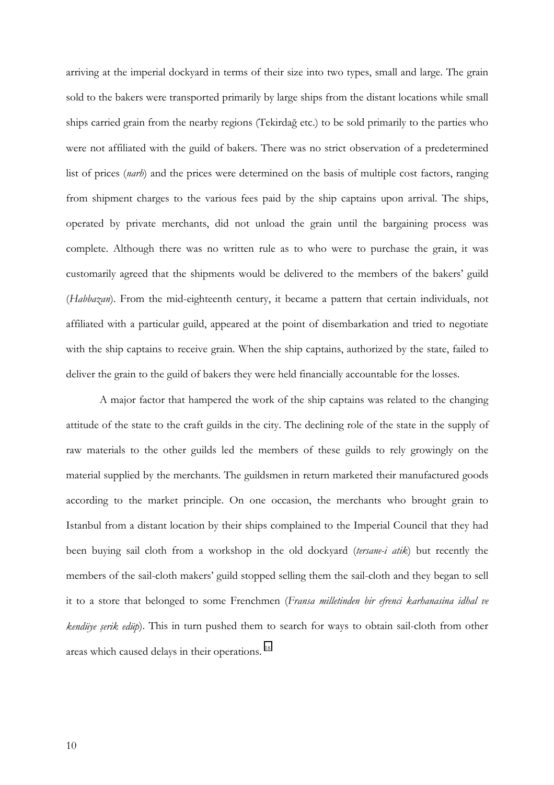arriving at the imperial dockyard in terms of their size into two types, small and large. The grain sold to the bakers were transported primarily by large ships from the distant locations while small ships carried grain from the nearby regions (Tekirdağ etc.) to be sold primarily to the parties who were not affiliated with the guild of bakers. There was no strict observation of a predetermined list of prices (*narh*) and the prices were determined on the basis of multiple cost factors, ranging from shipment charges to the various fees paid by the ship captains upon arrival. The ships, operated by private merchants, did not unload the grain until the bargaining process was complete. Although there was no written rule as to who were to purchase the grain, it was customarily agreed that the shipments would be delivered to the members of the bakers' guild (*Habbazan*). From the mid-eighteenth century, it became a pattern that certain individuals, not affiliated with a particular guild, appeared at the point of disembarkation and tried to negotiate with the ship captains to receive grain. When the ship captains, authorized by the state, failed to deliver the grain to the guild of bakers they were held financially accountable for the losses.

A major factor that hampered the work of the ship captains was related to the changing attitude of the state to the craft guilds in the city. The declining role of the state in the supply of raw materials to the other guilds led the members of these guilds to rely growingly on the material supplied by the merchants. The guildsmen in return marketed their manufactured goods according to the market principle. On one occasion, the merchants who brought grain to Istanbul from a distant location by their ships complained to the Imperial Council that they had been buying sail cloth from a workshop in the old dockyard (*tersane-i atik*) but recently the members of the sail-cloth makers' guild stopped selling them the sail-cloth and they began to sell it to a store that belonged to some Frenchmen (*Fransa milletinden bir efrenci karhanasina idhal ve kendüye şerik edüp*). This in turn pushed them to search for ways to obtain sail-cloth from other areas which caused delays in their operations.<sup>18</sup>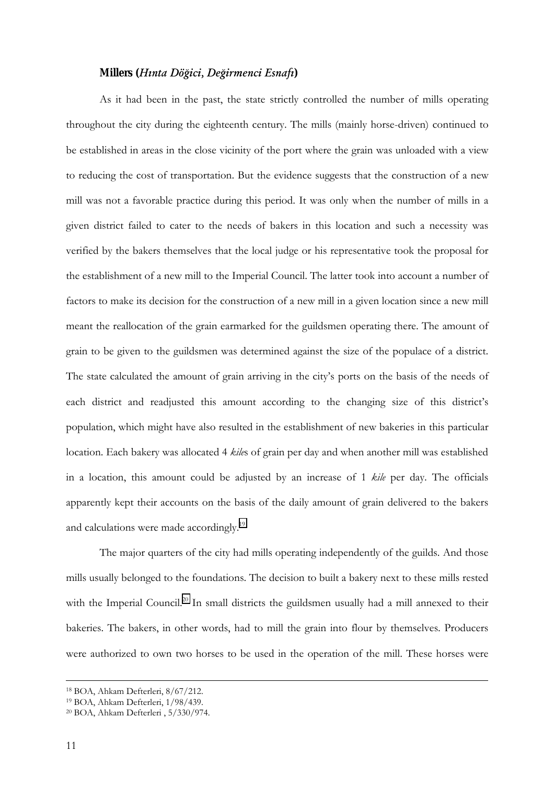### **Millers (***Hınta Döğici, Değirmenci Esnafı***)**

As it had been in the past, the state strictly controlled the number of mills operating throughout the city during the eighteenth century. The mills (mainly horse-driven) continued to be established in areas in the close vicinity of the port where the grain was unloaded with a view to reducing the cost of transportation. But the evidence suggests that the construction of a new mill was not a favorable practice during this period. It was only when the number of mills in a given district failed to cater to the needs of bakers in this location and such a necessity was verified by the bakers themselves that the local judge or his representative took the proposal for the establishment of a new mill to the Imperial Council. The latter took into account a number of factors to make its decision for the construction of a new mill in a given location since a new mill meant the reallocation of the grain earmarked for the guildsmen operating there. The amount of grain to be given to the guildsmen was determined against the size of the populace of a district. The state calculated the amount of grain arriving in the city's ports on the basis of the needs of each district and readjusted this amount according to the changing size of this district's population, which might have also resulted in the establishment of new bakeries in this particular location. Each bakery was allocated 4 *kile*s of grain per day and when another mill was established in a location, this amount could be adjusted by an increase of 1 *kile* per day. The officials apparently kept their accounts on the basis of the daily amount of grain delivered to the bakers and calculations were made accordingly.<sup>19</sup>

The major quarters of the city had mills operating independently of the guilds. And those mills usually belonged to the foundations. The decision to built a bakery next to these mills rested with the Imperial Council.<sup>20</sup> In small districts the guildsmen usually had a mill annexed to their bakeries. The bakers, in other words, had to mill the grain into flour by themselves. Producers were authorized to own two horses to be used in the operation of the mill. These horses were

 <sup>18</sup> BOA, Ahkam Defterleri, 8/67/212.

<sup>19</sup> BOA, Ahkam Defterleri, 1/98/439.

<sup>20</sup> BOA, Ahkam Defterleri , 5/330/974.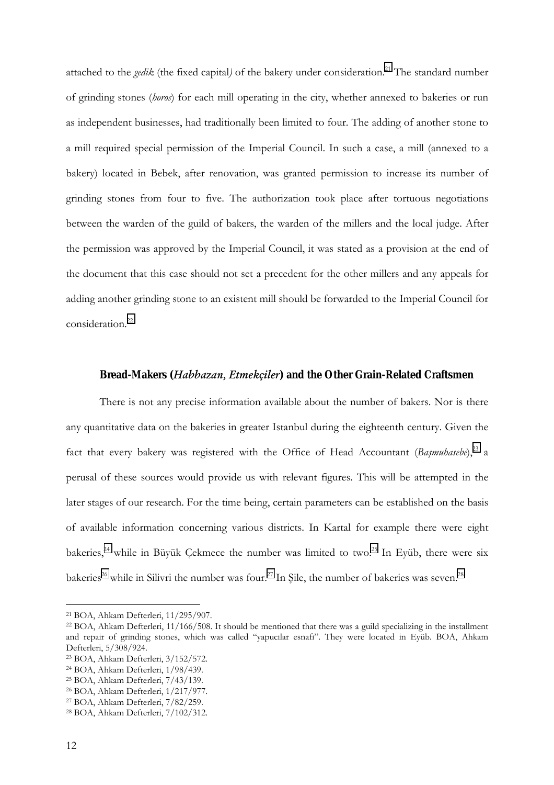attached to the *gedik* (the fixed capital) of the bakery under consideration.<sup>21</sup> The standard number of grinding stones (*horos*) for each mill operating in the city, whether annexed to bakeries or run as independent businesses, had traditionally been limited to four. The adding of another stone to a mill required special permission of the Imperial Council. In such a case, a mill (annexed to a bakery) located in Bebek, after renovation, was granted permission to increase its number of grinding stones from four to five. The authorization took place after tortuous negotiations between the warden of the guild of bakers, the warden of the millers and the local judge. After the permission was approved by the Imperial Council, it was stated as a provision at the end of the document that this case should not set a precedent for the other millers and any appeals for adding another grinding stone to an existent mill should be forwarded to the Imperial Council for consideration.22

## **Bread-Makers (***Habbazan, Etmekçiler***) and the Other Grain-Related Craftsmen**

There is not any precise information available about the number of bakers. Nor is there any quantitative data on the bakeries in greater Istanbul during the eighteenth century. Given the fact that every bakery was registered with the Office of Head Accountant (Bașmuhasebe),<sup>23</sup> a perusal of these sources would provide us with relevant figures. This will be attempted in the later stages of our research. For the time being, certain parameters can be established on the basis of available information concerning various districts. In Kartal for example there were eight bakeries,<sup>24</sup> while in Büyük Çekmece the number was limited to two.<sup>25</sup> In Eyüb, there were six bakeries<sup>26</sup> while in Silivri the number was four.<sup>27</sup> In Sile, the number of bakeries was seven.<sup>28</sup>

<sup>21</sup> BOA, Ahkam Defterleri, 11/295/907.

<sup>22</sup> BOA, Ahkam Defterleri, 11/166/508. It should be mentioned that there was a guild specializing in the installment and repair of grinding stones, which was called "yapucılar esnafı". They were located in Eyüb. BOA, Ahkam Defterleri, 5/308/924.

<sup>23</sup> BOA, Ahkam Defterleri, 3/152/572.

<sup>24</sup> BOA, Ahkam Defterleri, 1/98/439.

<sup>25</sup> BOA, Ahkam Defterleri, 7/43/139.

<sup>26</sup> BOA, Ahkam Defterleri, 1/217/977.

<sup>27</sup> BOA, Ahkam Defterleri, 7/82/259.

<sup>28</sup> BOA, Ahkam Defterleri, 7/102/312.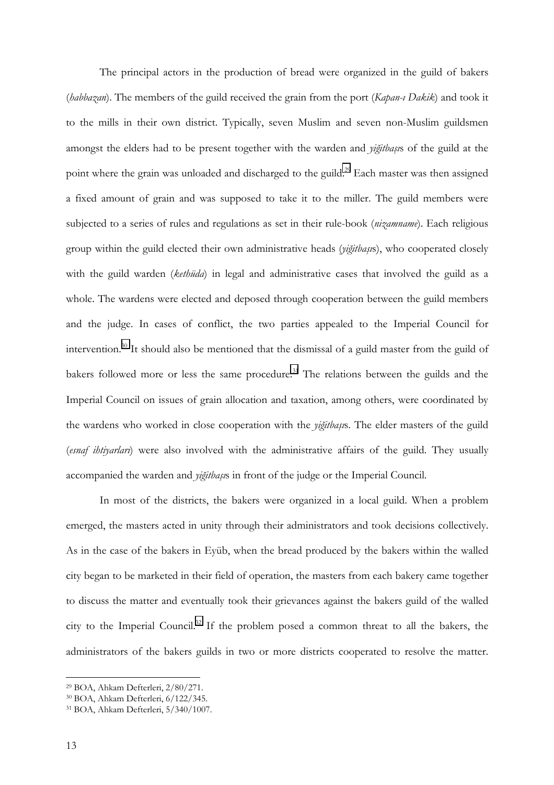The principal actors in the production of bread were organized in the guild of bakers (*habbazan*). The members of the guild received the grain from the port (*Kapan-ı Dakik*) and took it to the mills in their own district. Typically, seven Muslim and seven non-Muslim guildsmen amongst the elders had to be present together with the warden and *yiğitbaşı*s of the guild at the point where the grain was unloaded and discharged to the guild.<sup>29</sup> Each master was then assigned a fixed amount of grain and was supposed to take it to the miller. The guild members were subjected to a series of rules and regulations as set in their rule-book (*nizamname*). Each religious group within the guild elected their own administrative heads (*yiğitbaşı*s), who cooperated closely with the guild warden (*kethüda*) in legal and administrative cases that involved the guild as a whole. The wardens were elected and deposed through cooperation between the guild members and the judge. In cases of conflict, the two parties appealed to the Imperial Council for intervention.30 It should also be mentioned that the dismissal of a guild master from the guild of bakers followed more or less the same procedure.<sup>31</sup> The relations between the guilds and the Imperial Council on issues of grain allocation and taxation, among others, were coordinated by the wardens who worked in close cooperation with the *yiğitbaşı*s. The elder masters of the guild (*esnaf ihtiyarları*) were also involved with the administrative affairs of the guild. They usually accompanied the warden and *yiğitbaşı*s in front of the judge or the Imperial Council.

In most of the districts, the bakers were organized in a local guild. When a problem emerged, the masters acted in unity through their administrators and took decisions collectively. As in the case of the bakers in Eyüb, when the bread produced by the bakers within the walled city began to be marketed in their field of operation, the masters from each bakery came together to discuss the matter and eventually took their grievances against the bakers guild of the walled city to the Imperial Council.32 If the problem posed a common threat to all the bakers, the administrators of the bakers guilds in two or more districts cooperated to resolve the matter.

<sup>29</sup> BOA, Ahkam Defterleri, 2/80/271.

<sup>30</sup> BOA, Ahkam Defterleri, 6/122/345.

<sup>31</sup> BOA, Ahkam Defterleri, 5/340/1007.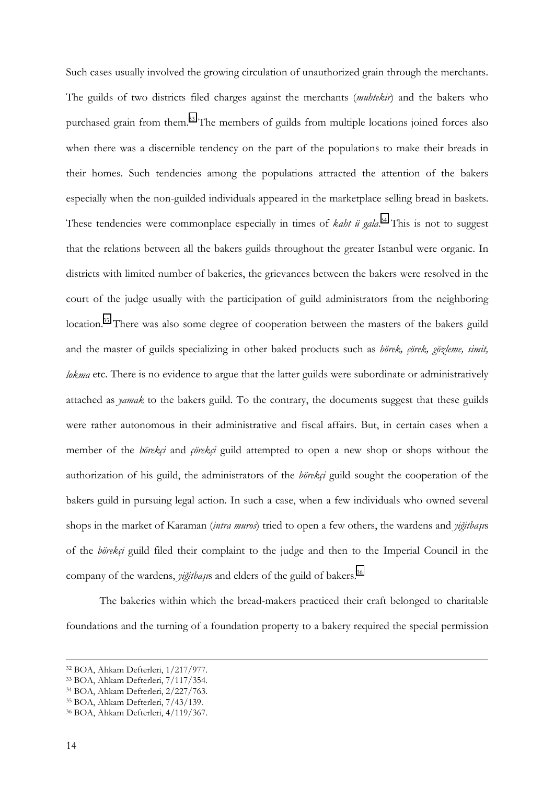Such cases usually involved the growing circulation of unauthorized grain through the merchants. The guilds of two districts filed charges against the merchants (*muhtekir*) and the bakers who purchased grain from them.33 The members of guilds from multiple locations joined forces also when there was a discernible tendency on the part of the populations to make their breads in their homes. Such tendencies among the populations attracted the attention of the bakers especially when the non-guilded individuals appeared in the marketplace selling bread in baskets. These tendencies were commonplace especially in times of *kaht ü gala*.<sup>34</sup> This is not to suggest that the relations between all the bakers guilds throughout the greater Istanbul were organic. In districts with limited number of bakeries, the grievances between the bakers were resolved in the court of the judge usually with the participation of guild administrators from the neighboring location.<sup>35</sup> There was also some degree of cooperation between the masters of the bakers guild and the master of guilds specializing in other baked products such as *börek, çörek, gözleme, simit, lokma* etc. There is no evidence to argue that the latter guilds were subordinate or administratively attached as *yamak* to the bakers guild. To the contrary, the documents suggest that these guilds were rather autonomous in their administrative and fiscal affairs. But, in certain cases when a member of the *börekçi* and *çörekçi* guild attempted to open a new shop or shops without the authorization of his guild, the administrators of the *börekçi* guild sought the cooperation of the bakers guild in pursuing legal action. In such a case, when a few individuals who owned several shops in the market of Karaman (*intra muros*) tried to open a few others, the wardens and *yiğitbaşı*s of the *börekçi* guild filed their complaint to the judge and then to the Imperial Council in the company of the wardens, *yiğitbaşı*s and elders of the guild of bakers.36

The bakeries within which the bread-makers practiced their craft belonged to charitable foundations and the turning of a foundation property to a bakery required the special permission

 <sup>32</sup> BOA, Ahkam Defterleri, 1/217/977.

<sup>33</sup> BOA, Ahkam Defterleri, 7/117/354.

<sup>34</sup> BOA, Ahkam Defterleri, 2/227/763.

<sup>35</sup> BOA, Ahkam Defterleri, 7/43/139.

<sup>36</sup> BOA, Ahkam Defterleri, 4/119/367.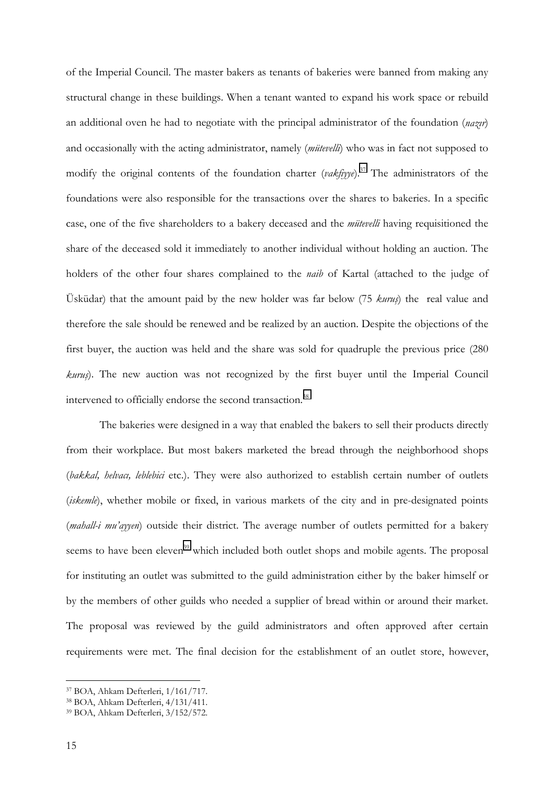of the Imperial Council. The master bakers as tenants of bakeries were banned from making any structural change in these buildings. When a tenant wanted to expand his work space or rebuild an additional oven he had to negotiate with the principal administrator of the foundation (*nazır*) and occasionally with the acting administrator, namely (*mütevelli*) who was in fact not supposed to modify the original contents of the foundation charter (*vakfiyye*).<sup>37</sup> The administrators of the foundations were also responsible for the transactions over the shares to bakeries. In a specific case, one of the five shareholders to a bakery deceased and the *mütevelli* having requisitioned the share of the deceased sold it immediately to another individual without holding an auction. The holders of the other four shares complained to the *naib* of Kartal (attached to the judge of Üsküdar) that the amount paid by the new holder was far below (75 *kuruş*) the real value and therefore the sale should be renewed and be realized by an auction. Despite the objections of the first buyer, the auction was held and the share was sold for quadruple the previous price (280 *kuruş*). The new auction was not recognized by the first buyer until the Imperial Council intervened to officially endorse the second transaction.<sup>38</sup>

The bakeries were designed in a way that enabled the bakers to sell their products directly from their workplace. But most bakers marketed the bread through the neighborhood shops (*bakkal, helvacı, leblebici* etc.). They were also authorized to establish certain number of outlets (*iskemle*), whether mobile or fixed, in various markets of the city and in pre-designated points (*mahall-i mu'ayyen*) outside their district. The average number of outlets permitted for a bakery seems to have been eleven<sup>39</sup> which included both outlet shops and mobile agents. The proposal for instituting an outlet was submitted to the guild administration either by the baker himself or by the members of other guilds who needed a supplier of bread within or around their market. The proposal was reviewed by the guild administrators and often approved after certain requirements were met. The final decision for the establishment of an outlet store, however,

<sup>37</sup> BOA, Ahkam Defterleri, 1/161/717.

<sup>38</sup> BOA, Ahkam Defterleri, 4/131/411.

<sup>39</sup> BOA, Ahkam Defterleri, 3/152/572.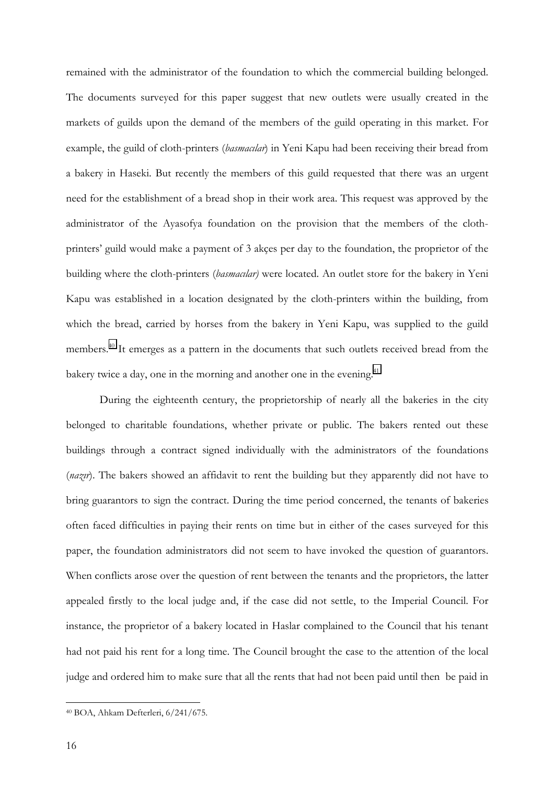remained with the administrator of the foundation to which the commercial building belonged. The documents surveyed for this paper suggest that new outlets were usually created in the markets of guilds upon the demand of the members of the guild operating in this market. For example, the guild of cloth-printers (*basmacılar*) in Yeni Kapu had been receiving their bread from a bakery in Haseki. But recently the members of this guild requested that there was an urgent need for the establishment of a bread shop in their work area. This request was approved by the administrator of the Ayasofya foundation on the provision that the members of the clothprinters' guild would make a payment of 3 akçes per day to the foundation, the proprietor of the building where the cloth-printers (*basmacılar)* were located. An outlet store for the bakery in Yeni Kapu was established in a location designated by the cloth-printers within the building, from which the bread, carried by horses from the bakery in Yeni Kapu, was supplied to the guild members.40 It emerges as a pattern in the documents that such outlets received bread from the bakery twice a day, one in the morning and another one in the evening.<sup>41</sup>

During the eighteenth century, the proprietorship of nearly all the bakeries in the city belonged to charitable foundations, whether private or public. The bakers rented out these buildings through a contract signed individually with the administrators of the foundations (*nazır*). The bakers showed an affidavit to rent the building but they apparently did not have to bring guarantors to sign the contract. During the time period concerned, the tenants of bakeries often faced difficulties in paying their rents on time but in either of the cases surveyed for this paper, the foundation administrators did not seem to have invoked the question of guarantors. When conflicts arose over the question of rent between the tenants and the proprietors, the latter appealed firstly to the local judge and, if the case did not settle, to the Imperial Council. For instance, the proprietor of a bakery located in Haslar complained to the Council that his tenant had not paid his rent for a long time. The Council brought the case to the attention of the local judge and ordered him to make sure that all the rents that had not been paid until then be paid in

<sup>40</sup> BOA, Ahkam Defterleri, 6/241/675.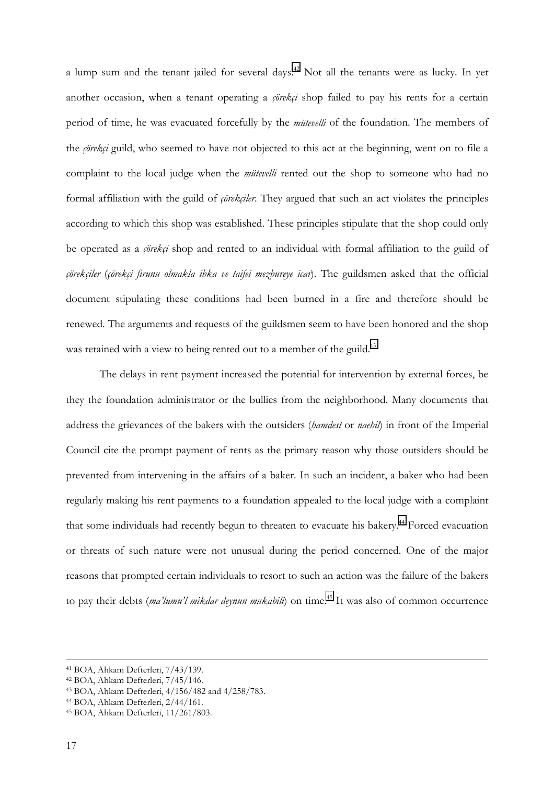a lump sum and the tenant jailed for several days.<sup>42</sup> Not all the tenants were as lucky. In yet another occasion, when a tenant operating a *çörekçi* shop failed to pay his rents for a certain period of time, he was evacuated forcefully by the *mütevelli* of the foundation. The members of the *çörekçi* guild, who seemed to have not objected to this act at the beginning, went on to file a complaint to the local judge when the *mütevelli* rented out the shop to someone who had no formal affiliation with the guild of *çörekçiler*. They argued that such an act violates the principles according to which this shop was established. These principles stipulate that the shop could only be operated as a *çörekçi* shop and rented to an individual with formal affiliation to the guild of *çörekçiler* (*çörekçi fırunu olmakla ibka ve taifei mezbureye icar*). The guildsmen asked that the official document stipulating these conditions had been burned in a fire and therefore should be renewed. The arguments and requests of the guildsmen seem to have been honored and the shop was retained with a view to being rented out to a member of the guild.<sup>43</sup>

The delays in rent payment increased the potential for intervention by external forces, be they the foundation administrator or the bullies from the neighborhood. Many documents that address the grievances of the bakers with the outsiders (*hamdest* or *naehil*) in front of the Imperial Council cite the prompt payment of rents as the primary reason why those outsiders should be prevented from intervening in the affairs of a baker. In such an incident, a baker who had been regularly making his rent payments to a foundation appealed to the local judge with a complaint that some individuals had recently begun to threaten to evacuate his bakery.<sup>44</sup> Forced evacuation or threats of such nature were not unusual during the period concerned. One of the major reasons that prompted certain individuals to resort to such an action was the failure of the bakers to pay their debts *(ma'lumu'l mikdar deynun mukabili*) on time.<sup>45</sup> It was also of common occurrence

 <sup>41</sup> BOA, Ahkam Defterleri, 7/43/139.

<sup>42</sup> BOA, Ahkam Defterleri, 7/45/146.

<sup>43</sup> BOA, Ahkam Defterleri, 4/156/482 and 4/258/783.

<sup>44</sup> BOA, Ahkam Defterleri, 2/44/161.

<sup>45</sup> BOA, Ahkam Defterleri, 11/261/803.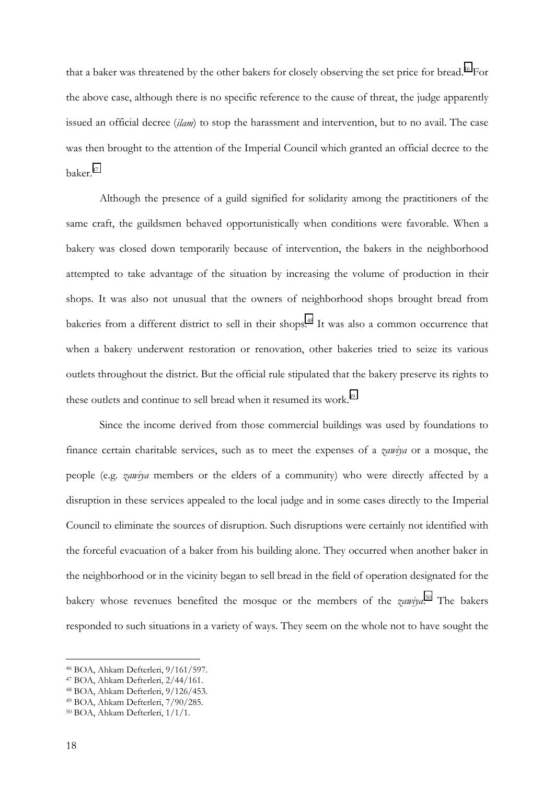that a baker was threatened by the other bakers for closely observing the set price for bread.<sup>46</sup> For the above case, although there is no specific reference to the cause of threat, the judge apparently issued an official decree (*ilam*) to stop the harassment and intervention, but to no avail. The case was then brought to the attention of the Imperial Council which granted an official decree to the baker.47

Although the presence of a guild signified for solidarity among the practitioners of the same craft, the guildsmen behaved opportunistically when conditions were favorable. When a bakery was closed down temporarily because of intervention, the bakers in the neighborhood attempted to take advantage of the situation by increasing the volume of production in their shops. It was also not unusual that the owners of neighborhood shops brought bread from bakeries from a different district to sell in their shops.<sup>48</sup> It was also a common occurrence that when a bakery underwent restoration or renovation, other bakeries tried to seize its various outlets throughout the district. But the official rule stipulated that the bakery preserve its rights to these outlets and continue to sell bread when it resumed its work.<sup>49</sup>

Since the income derived from those commercial buildings was used by foundations to finance certain charitable services, such as to meet the expenses of a *zawiya* or a mosque, the people (e.g. *zawiya* members or the elders of a community) who were directly affected by a disruption in these services appealed to the local judge and in some cases directly to the Imperial Council to eliminate the sources of disruption. Such disruptions were certainly not identified with the forceful evacuation of a baker from his building alone. They occurred when another baker in the neighborhood or in the vicinity began to sell bread in the field of operation designated for the bakery whose revenues benefited the mosque or the members of the *zawiya*. 50 The bakers responded to such situations in a variety of ways. They seem on the whole not to have sought the

<sup>46</sup> BOA, Ahkam Defterleri, 9/161/597.

<sup>47</sup> BOA, Ahkam Defterleri, 2/44/161.

<sup>48</sup> BOA, Ahkam Defterleri, 9/126/453.

<sup>49</sup> BOA, Ahkam Defterleri, 7/90/285.

<sup>50</sup> BOA, Ahkam Defterleri, 1/1/1.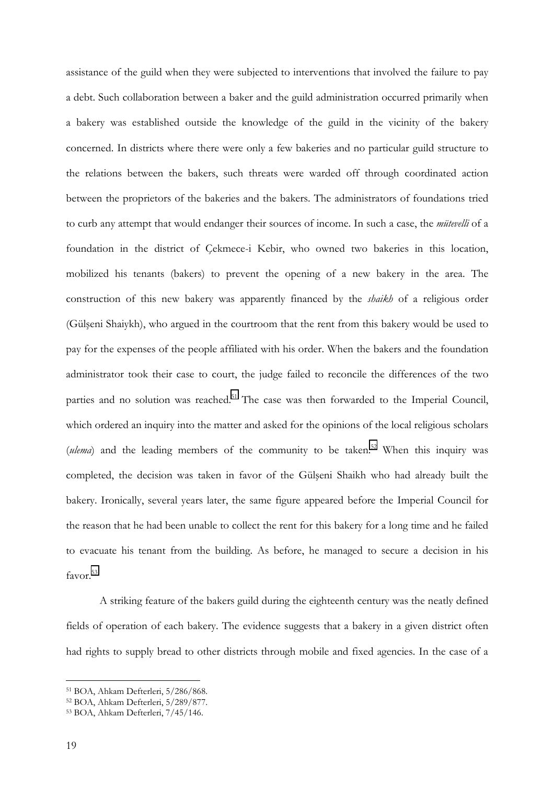assistance of the guild when they were subjected to interventions that involved the failure to pay a debt. Such collaboration between a baker and the guild administration occurred primarily when a bakery was established outside the knowledge of the guild in the vicinity of the bakery concerned. In districts where there were only a few bakeries and no particular guild structure to the relations between the bakers, such threats were warded off through coordinated action between the proprietors of the bakeries and the bakers. The administrators of foundations tried to curb any attempt that would endanger their sources of income. In such a case, the *mütevelli* of a foundation in the district of Çekmece-i Kebir, who owned two bakeries in this location, mobilized his tenants (bakers) to prevent the opening of a new bakery in the area. The construction of this new bakery was apparently financed by the *shaikh* of a religious order (Gülşeni Shaiykh), who argued in the courtroom that the rent from this bakery would be used to pay for the expenses of the people affiliated with his order. When the bakers and the foundation administrator took their case to court, the judge failed to reconcile the differences of the two parties and no solution was reached.<sup>51</sup> The case was then forwarded to the Imperial Council, which ordered an inquiry into the matter and asked for the opinions of the local religious scholars (*ulema*) and the leading members of the community to be taken.<sup>52</sup> When this inquiry was completed, the decision was taken in favor of the Gülşeni Shaikh who had already built the bakery. Ironically, several years later, the same figure appeared before the Imperial Council for the reason that he had been unable to collect the rent for this bakery for a long time and he failed to evacuate his tenant from the building. As before, he managed to secure a decision in his favor.<sup>53</sup>

A striking feature of the bakers guild during the eighteenth century was the neatly defined fields of operation of each bakery. The evidence suggests that a bakery in a given district often had rights to supply bread to other districts through mobile and fixed agencies. In the case of a

<sup>51</sup> BOA, Ahkam Defterleri, 5/286/868.

<sup>52</sup> BOA, Ahkam Defterleri, 5/289/877.

<sup>53</sup> BOA, Ahkam Defterleri, 7/45/146.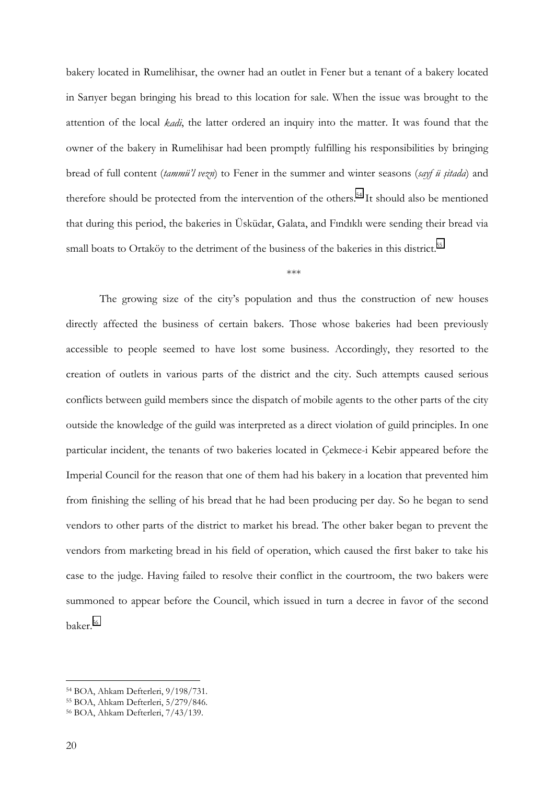bakery located in Rumelihisar, the owner had an outlet in Fener but a tenant of a bakery located in Sarıyer began bringing his bread to this location for sale. When the issue was brought to the attention of the local *kadi*, the latter ordered an inquiry into the matter. It was found that the owner of the bakery in Rumelihisar had been promptly fulfilling his responsibilities by bringing bread of full content (*tammü'l vezn*) to Fener in the summer and winter seasons (*sayf ü şitada*) and therefore should be protected from the intervention of the others.<sup>54</sup> It should also be mentioned that during this period, the bakeries in Üsküdar, Galata, and Fındıklı were sending their bread via small boats to Ortaköy to the detriment of the business of the bakeries in this district.<sup>55</sup>

\*\*\*

The growing size of the city's population and thus the construction of new houses directly affected the business of certain bakers. Those whose bakeries had been previously accessible to people seemed to have lost some business. Accordingly, they resorted to the creation of outlets in various parts of the district and the city. Such attempts caused serious conflicts between guild members since the dispatch of mobile agents to the other parts of the city outside the knowledge of the guild was interpreted as a direct violation of guild principles. In one particular incident, the tenants of two bakeries located in Çekmece-i Kebir appeared before the Imperial Council for the reason that one of them had his bakery in a location that prevented him from finishing the selling of his bread that he had been producing per day. So he began to send vendors to other parts of the district to market his bread. The other baker began to prevent the vendors from marketing bread in his field of operation, which caused the first baker to take his case to the judge. Having failed to resolve their conflict in the courtroom, the two bakers were summoned to appear before the Council, which issued in turn a decree in favor of the second baker.<sup>56</sup>

<sup>54</sup> BOA, Ahkam Defterleri, 9/198/731.

<sup>55</sup> BOA, Ahkam Defterleri, 5/279/846.

<sup>56</sup> BOA, Ahkam Defterleri, 7/43/139.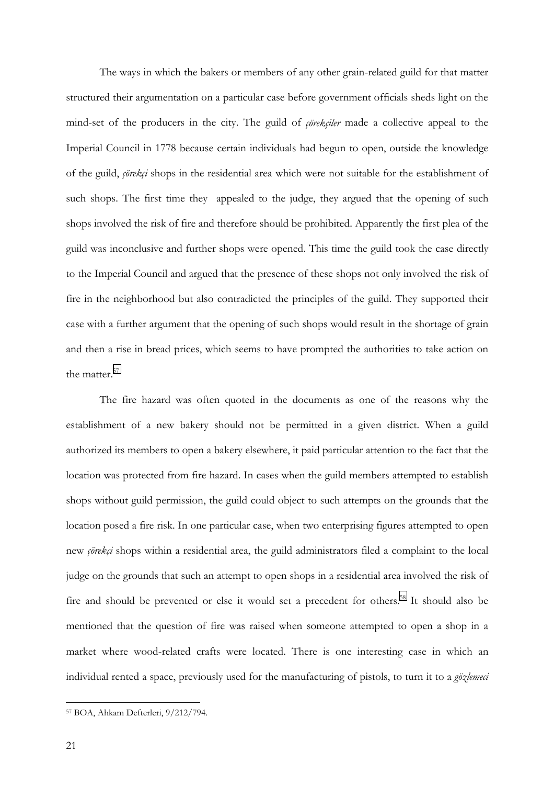The ways in which the bakers or members of any other grain-related guild for that matter structured their argumentation on a particular case before government officials sheds light on the mind-set of the producers in the city. The guild of *çörekçiler* made a collective appeal to the Imperial Council in 1778 because certain individuals had begun to open, outside the knowledge of the guild, *çörekçi* shops in the residential area which were not suitable for the establishment of such shops. The first time they appealed to the judge, they argued that the opening of such shops involved the risk of fire and therefore should be prohibited. Apparently the first plea of the guild was inconclusive and further shops were opened. This time the guild took the case directly to the Imperial Council and argued that the presence of these shops not only involved the risk of fire in the neighborhood but also contradicted the principles of the guild. They supported their case with a further argument that the opening of such shops would result in the shortage of grain and then a rise in bread prices, which seems to have prompted the authorities to take action on the matter.<sup>57</sup>

The fire hazard was often quoted in the documents as one of the reasons why the establishment of a new bakery should not be permitted in a given district. When a guild authorized its members to open a bakery elsewhere, it paid particular attention to the fact that the location was protected from fire hazard. In cases when the guild members attempted to establish shops without guild permission, the guild could object to such attempts on the grounds that the location posed a fire risk. In one particular case, when two enterprising figures attempted to open new *çörekçi* shops within a residential area, the guild administrators filed a complaint to the local judge on the grounds that such an attempt to open shops in a residential area involved the risk of fire and should be prevented or else it would set a precedent for others.<sup>58</sup> It should also be mentioned that the question of fire was raised when someone attempted to open a shop in a market where wood-related crafts were located. There is one interesting case in which an individual rented a space, previously used for the manufacturing of pistols, to turn it to a *gözlemeci*

<sup>57</sup> BOA, Ahkam Defterleri, 9/212/794.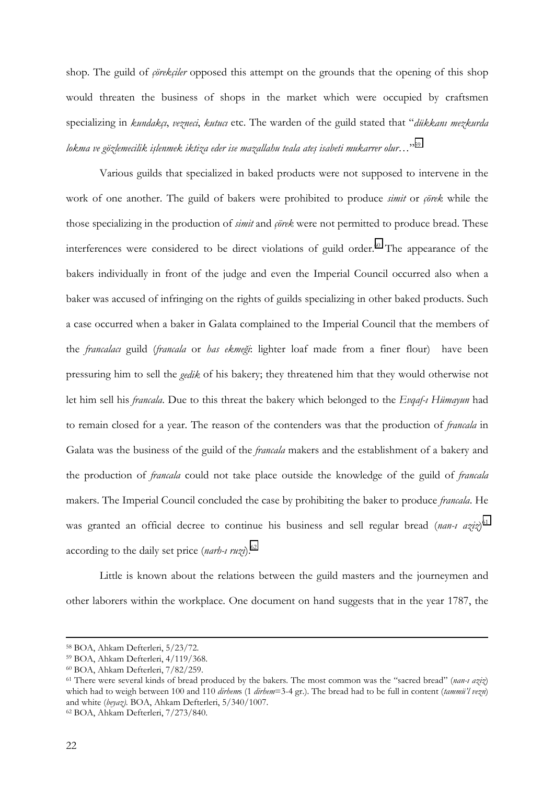shop. The guild of *çörekçiler* opposed this attempt on the grounds that the opening of this shop would threaten the business of shops in the market which were occupied by craftsmen specializing in *kundakçı*, *vezneci*, *kutucı* etc. The warden of the guild stated that "*dükkanı mezkurda lokma ve gözlemecilik işlenmek iktiza eder ise mazallahu teala ateş isabeti mukarrer olur*…"59

Various guilds that specialized in baked products were not supposed to intervene in the work of one another. The guild of bakers were prohibited to produce *simit* or *çörek* while the those specializing in the production of *simit* and *çörek* were not permitted to produce bread. These interferences were considered to be direct violations of guild order.<sup>60</sup> The appearance of the bakers individually in front of the judge and even the Imperial Council occurred also when a baker was accused of infringing on the rights of guilds specializing in other baked products. Such a case occurred when a baker in Galata complained to the Imperial Council that the members of the *francalacı* guild (*francala* or *has ekmeği*: lighter loaf made from a finer flour) have been pressuring him to sell the *gedik* of his bakery; they threatened him that they would otherwise not let him sell his *francala*. Due to this threat the bakery which belonged to the *Evqaf-ı Hümayun* had to remain closed for a year. The reason of the contenders was that the production of *francala* in Galata was the business of the guild of the *francala* makers and the establishment of a bakery and the production of *francala* could not take place outside the knowledge of the guild of *francala* makers. The Imperial Council concluded the case by prohibiting the baker to produce *francala*. He was granted an official decree to continue his business and sell regular bread (*nan-ı aziz*) 61 according to the daily set price (*narh-ı ruzi*).62

Little is known about the relations between the guild masters and the journeymen and other laborers within the workplace. One document on hand suggests that in the year 1787, the

 <sup>58</sup> BOA, Ahkam Defterleri, 5/23/72.

<sup>59</sup> BOA, Ahkam Defterleri, 4/119/368.

<sup>60</sup> BOA, Ahkam Defterleri, 7/82/259.

<sup>61</sup> There were several kinds of bread produced by the bakers. The most common was the "sacred bread" (*nan-ı aziz*) which had to weigh between 100 and 110 *dirhem*s (1 *dirhem*=3-4 gr.). The bread had to be full in content (*tammü'l vezn*) and white (*beyaz).* BOA, Ahkam Defterleri, 5/340/1007. 62 BOA, Ahkam Defterleri, 7/273/840.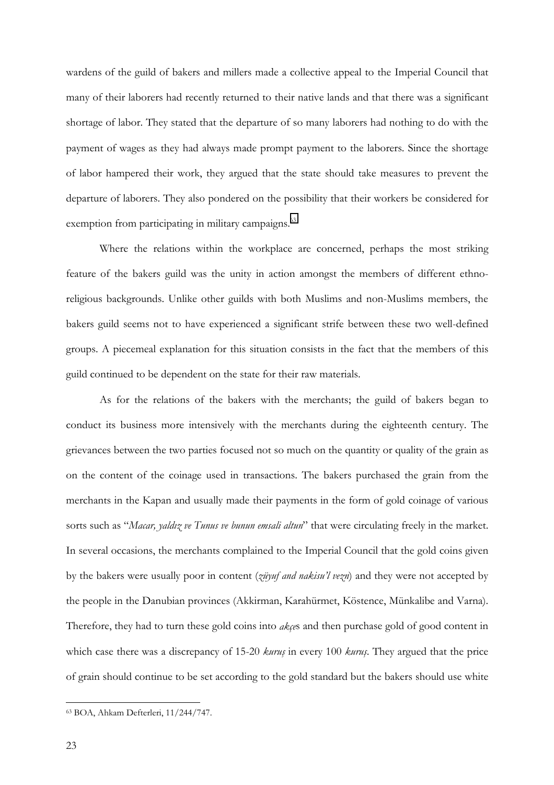wardens of the guild of bakers and millers made a collective appeal to the Imperial Council that many of their laborers had recently returned to their native lands and that there was a significant shortage of labor. They stated that the departure of so many laborers had nothing to do with the payment of wages as they had always made prompt payment to the laborers. Since the shortage of labor hampered their work, they argued that the state should take measures to prevent the departure of laborers. They also pondered on the possibility that their workers be considered for exemption from participating in military campaigns.<sup>63</sup>

Where the relations within the workplace are concerned, perhaps the most striking feature of the bakers guild was the unity in action amongst the members of different ethnoreligious backgrounds. Unlike other guilds with both Muslims and non-Muslims members, the bakers guild seems not to have experienced a significant strife between these two well-defined groups. A piecemeal explanation for this situation consists in the fact that the members of this guild continued to be dependent on the state for their raw materials.

As for the relations of the bakers with the merchants; the guild of bakers began to conduct its business more intensively with the merchants during the eighteenth century. The grievances between the two parties focused not so much on the quantity or quality of the grain as on the content of the coinage used in transactions. The bakers purchased the grain from the merchants in the Kapan and usually made their payments in the form of gold coinage of various sorts such as "*Macar, yaldız ve Tunus ve bunun emsali altun*" that were circulating freely in the market. In several occasions, the merchants complained to the Imperial Council that the gold coins given by the bakers were usually poor in content (*züyuf and nakisu'l vezn*) and they were not accepted by the people in the Danubian provinces (Akkirman, Karahürmet, Köstence, Münkalibe and Varna). Therefore, they had to turn these gold coins into *akçe*s and then purchase gold of good content in which case there was a discrepancy of 15-20 *kuruş* in every 100 *kuruş*. They argued that the price of grain should continue to be set according to the gold standard but the bakers should use white

<sup>63</sup> BOA, Ahkam Defterleri, 11/244/747.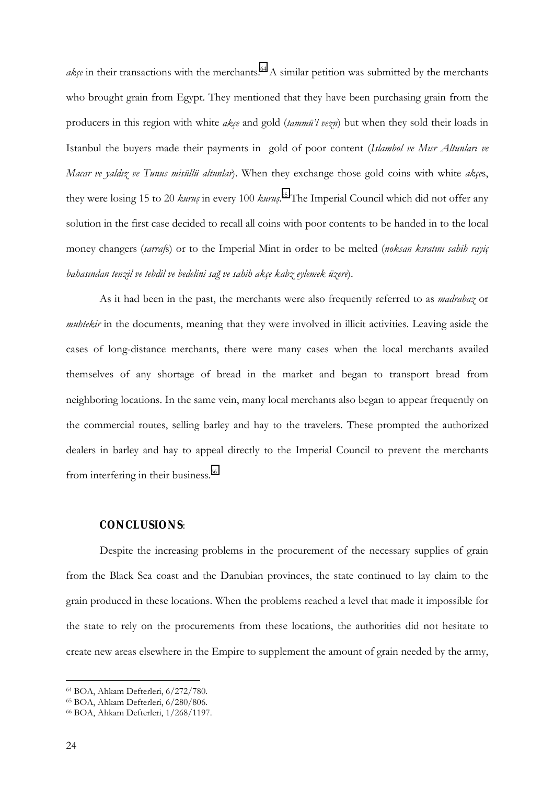$ake$  in their transactions with the merchants.<sup>64</sup> A similar petition was submitted by the merchants who brought grain from Egypt. They mentioned that they have been purchasing grain from the producers in this region with white *akçe* and gold (*tammü'l vezn*) but when they sold their loads in Istanbul the buyers made their payments in gold of poor content (*Islambol ve Mısr Altunları ve Macar ve yaldız ve Tunus misüllü altunlar*). When they exchange those gold coins with white *akçe*s, they were losing 15 to 20 *kuruş* in every 100 *kuruş*. 65 The Imperial Council which did not offer any solution in the first case decided to recall all coins with poor contents to be handed in to the local money changers (*sarraf*s) or to the Imperial Mint in order to be melted (*noksan kıratını sahih rayiç bahasından tenzil ve tebdil ve bedelini sağ ve sahih akçe kabz eylemek üzere*).

As it had been in the past, the merchants were also frequently referred to as *madrabaz* or *muhtekir* in the documents, meaning that they were involved in illicit activities. Leaving aside the cases of long-distance merchants, there were many cases when the local merchants availed themselves of any shortage of bread in the market and began to transport bread from neighboring locations. In the same vein, many local merchants also began to appear frequently on the commercial routes, selling barley and hay to the travelers. These prompted the authorized dealers in barley and hay to appeal directly to the Imperial Council to prevent the merchants from interfering in their business.<sup>66</sup>

#### **CONCLUSIONS**:

Despite the increasing problems in the procurement of the necessary supplies of grain from the Black Sea coast and the Danubian provinces, the state continued to lay claim to the grain produced in these locations. When the problems reached a level that made it impossible for the state to rely on the procurements from these locations, the authorities did not hesitate to create new areas elsewhere in the Empire to supplement the amount of grain needed by the army,

<sup>64</sup> BOA, Ahkam Defterleri, 6/272/780.

<sup>65</sup> BOA, Ahkam Defterleri, 6/280/806.

<sup>66</sup> BOA, Ahkam Defterleri, 1/268/1197.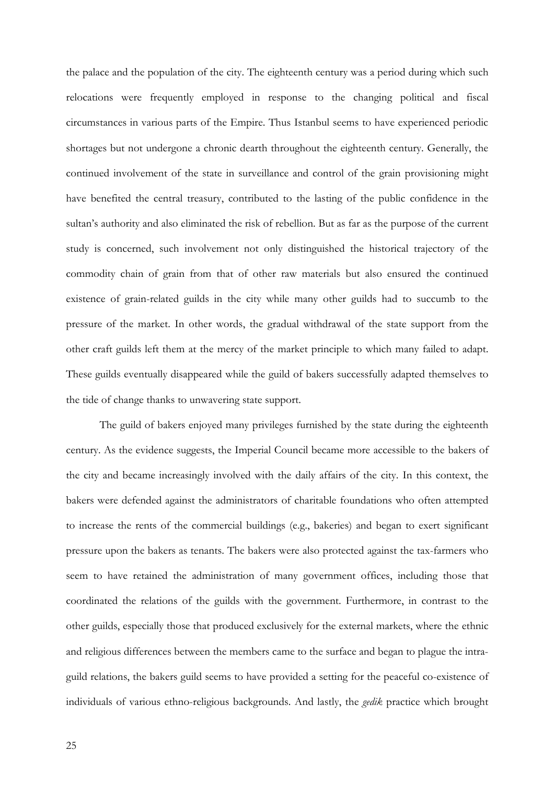the palace and the population of the city. The eighteenth century was a period during which such relocations were frequently employed in response to the changing political and fiscal circumstances in various parts of the Empire. Thus Istanbul seems to have experienced periodic shortages but not undergone a chronic dearth throughout the eighteenth century. Generally, the continued involvement of the state in surveillance and control of the grain provisioning might have benefited the central treasury, contributed to the lasting of the public confidence in the sultan's authority and also eliminated the risk of rebellion. But as far as the purpose of the current study is concerned, such involvement not only distinguished the historical trajectory of the commodity chain of grain from that of other raw materials but also ensured the continued existence of grain-related guilds in the city while many other guilds had to succumb to the pressure of the market. In other words, the gradual withdrawal of the state support from the other craft guilds left them at the mercy of the market principle to which many failed to adapt. These guilds eventually disappeared while the guild of bakers successfully adapted themselves to the tide of change thanks to unwavering state support.

The guild of bakers enjoyed many privileges furnished by the state during the eighteenth century. As the evidence suggests, the Imperial Council became more accessible to the bakers of the city and became increasingly involved with the daily affairs of the city. In this context, the bakers were defended against the administrators of charitable foundations who often attempted to increase the rents of the commercial buildings (e.g., bakeries) and began to exert significant pressure upon the bakers as tenants. The bakers were also protected against the tax-farmers who seem to have retained the administration of many government offices, including those that coordinated the relations of the guilds with the government. Furthermore, in contrast to the other guilds, especially those that produced exclusively for the external markets, where the ethnic and religious differences between the members came to the surface and began to plague the intraguild relations, the bakers guild seems to have provided a setting for the peaceful co-existence of individuals of various ethno-religious backgrounds. And lastly, the *gedik* practice which brought